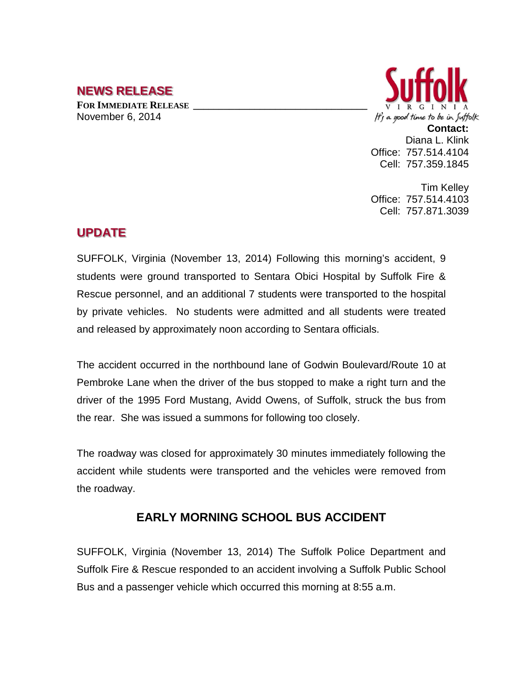## **NEWS RELEASE**

**FOR IMMEDIATE RELEASE \_\_\_\_\_\_\_\_\_\_\_\_\_\_\_\_\_\_\_\_\_\_\_\_\_\_\_\_\_\_\_\_\_\_** November 6, 2014



**Contact:** Diana L. Klink Office: 757.514.4104 Cell: 757.359.1845

Tim Kelley Office: 757.514.4103 Cell: 757.871.3039

## **UPDATE**

SUFFOLK, Virginia (November 13, 2014) Following this morning's accident, 9 students were ground transported to Sentara Obici Hospital by Suffolk Fire & Rescue personnel, and an additional 7 students were transported to the hospital by private vehicles. No students were admitted and all students were treated and released by approximately noon according to Sentara officials.

The accident occurred in the northbound lane of Godwin Boulevard/Route 10 at Pembroke Lane when the driver of the bus stopped to make a right turn and the driver of the 1995 Ford Mustang, Avidd Owens, of Suffolk, struck the bus from the rear. She was issued a summons for following too closely.

The roadway was closed for approximately 30 minutes immediately following the accident while students were transported and the vehicles were removed from the roadway.

## **EARLY MORNING SCHOOL BUS ACCIDENT**

SUFFOLK, Virginia (November 13, 2014) The Suffolk Police Department and Suffolk Fire & Rescue responded to an accident involving a Suffolk Public School Bus and a passenger vehicle which occurred this morning at 8:55 a.m.